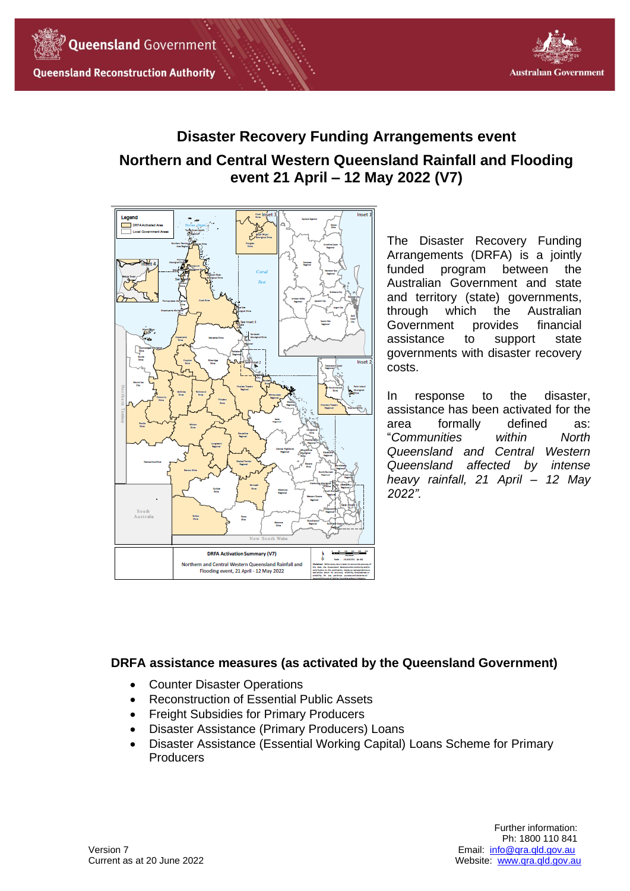



# **Disaster Recovery Funding Arrangements event Northern and Central Western Queensland Rainfall and Flooding event 21 April – 12 May 2022 (V7)**



The Disaster Recovery Funding Arrangements (DRFA) is a jointly funded program between the Australian Government and state and territory (state) governments, through which the Australian Government provides financial assistance to support state governments with disaster recovery costs.

In response to the disaster, assistance has been activated for the area formally defined as: "*Communities within North Queensland and Central Western Queensland affected by intense heavy rainfall, 21 April – 12 May 2022".*

# **DRFA assistance measures (as activated by the Queensland Government)**

- Counter Disaster Operations
- Reconstruction of Essential Public Assets
- Freight Subsidies for Primary Producers
- Disaster Assistance (Primary Producers) Loans
- Disaster Assistance (Essential Working Capital) Loans Scheme for Primary **Producers**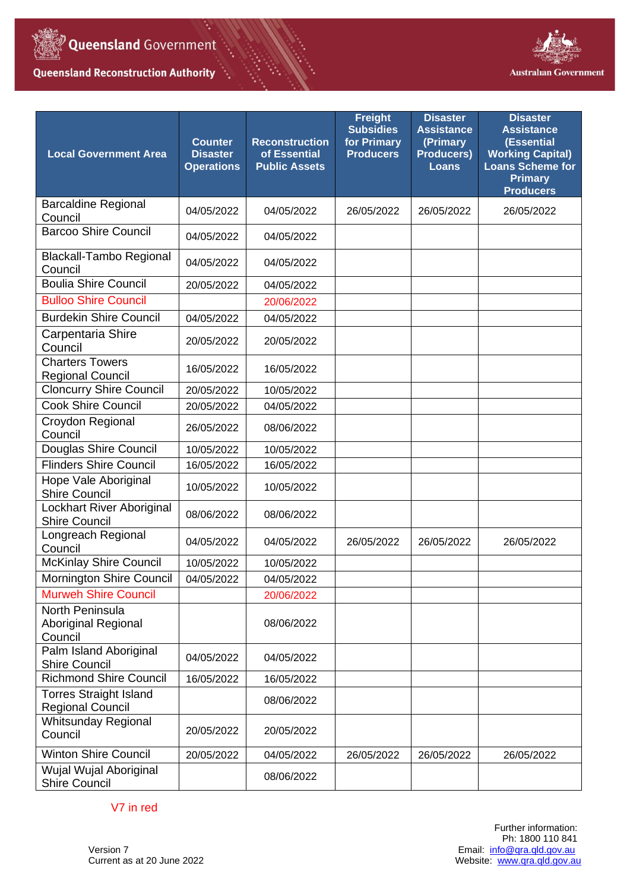

۰.

**Queensland Reconstruction Authority** 



| <b>Local Government Area</b>                             | <b>Counter</b><br><b>Disaster</b><br><b>Operations</b> | <b>Reconstruction</b><br>of Essential<br><b>Public Assets</b> | <b>Freight</b><br><b>Subsidies</b><br>for Primary<br><b>Producers</b> | <b>Disaster</b><br><b>Assistance</b><br>(Primary<br><b>Producers)</b><br><b>Loans</b> | <b>Disaster</b><br><b>Assistance</b><br>(Essential<br><b>Working Capital)</b><br><b>Loans Scheme for</b><br><b>Primary</b><br><b>Producers</b> |
|----------------------------------------------------------|--------------------------------------------------------|---------------------------------------------------------------|-----------------------------------------------------------------------|---------------------------------------------------------------------------------------|------------------------------------------------------------------------------------------------------------------------------------------------|
| <b>Barcaldine Regional</b><br>Council                    | 04/05/2022                                             | 04/05/2022                                                    | 26/05/2022                                                            | 26/05/2022                                                                            | 26/05/2022                                                                                                                                     |
| <b>Barcoo Shire Council</b>                              | 04/05/2022                                             | 04/05/2022                                                    |                                                                       |                                                                                       |                                                                                                                                                |
| <b>Blackall-Tambo Regional</b><br>Council                | 04/05/2022                                             | 04/05/2022                                                    |                                                                       |                                                                                       |                                                                                                                                                |
| <b>Boulia Shire Council</b>                              | 20/05/2022                                             | 04/05/2022                                                    |                                                                       |                                                                                       |                                                                                                                                                |
| <b>Bulloo Shire Council</b>                              |                                                        | 20/06/2022                                                    |                                                                       |                                                                                       |                                                                                                                                                |
| <b>Burdekin Shire Council</b>                            | 04/05/2022                                             | 04/05/2022                                                    |                                                                       |                                                                                       |                                                                                                                                                |
| Carpentaria Shire<br>Council                             | 20/05/2022                                             | 20/05/2022                                                    |                                                                       |                                                                                       |                                                                                                                                                |
| <b>Charters Towers</b><br><b>Regional Council</b>        | 16/05/2022                                             | 16/05/2022                                                    |                                                                       |                                                                                       |                                                                                                                                                |
| <b>Cloncurry Shire Council</b>                           | 20/05/2022                                             | 10/05/2022                                                    |                                                                       |                                                                                       |                                                                                                                                                |
| <b>Cook Shire Council</b>                                | 20/05/2022                                             | 04/05/2022                                                    |                                                                       |                                                                                       |                                                                                                                                                |
| Croydon Regional<br>Council                              | 26/05/2022                                             | 08/06/2022                                                    |                                                                       |                                                                                       |                                                                                                                                                |
| Douglas Shire Council                                    | 10/05/2022                                             | 10/05/2022                                                    |                                                                       |                                                                                       |                                                                                                                                                |
| <b>Flinders Shire Council</b>                            | 16/05/2022                                             | 16/05/2022                                                    |                                                                       |                                                                                       |                                                                                                                                                |
| Hope Vale Aboriginal<br><b>Shire Council</b>             | 10/05/2022                                             | 10/05/2022                                                    |                                                                       |                                                                                       |                                                                                                                                                |
| Lockhart River Aboriginal<br><b>Shire Council</b>        | 08/06/2022                                             | 08/06/2022                                                    |                                                                       |                                                                                       |                                                                                                                                                |
| Longreach Regional<br>Council                            | 04/05/2022                                             | 04/05/2022                                                    | 26/05/2022                                                            | 26/05/2022                                                                            | 26/05/2022                                                                                                                                     |
| <b>McKinlay Shire Council</b>                            | 10/05/2022                                             | 10/05/2022                                                    |                                                                       |                                                                                       |                                                                                                                                                |
| <b>Mornington Shire Council</b>                          | 04/05/2022                                             | 04/05/2022                                                    |                                                                       |                                                                                       |                                                                                                                                                |
| <b>Murweh Shire Council</b>                              |                                                        | 20/06/2022                                                    |                                                                       |                                                                                       |                                                                                                                                                |
| North Peninsula<br>Aboriginal Regional<br>Council        |                                                        | 08/06/2022                                                    |                                                                       |                                                                                       |                                                                                                                                                |
| Palm Island Aboriginal<br><b>Shire Council</b>           | 04/05/2022                                             | 04/05/2022                                                    |                                                                       |                                                                                       |                                                                                                                                                |
| <b>Richmond Shire Council</b>                            | 16/05/2022                                             | 16/05/2022                                                    |                                                                       |                                                                                       |                                                                                                                                                |
| <b>Torres Straight Island</b><br><b>Regional Council</b> |                                                        | 08/06/2022                                                    |                                                                       |                                                                                       |                                                                                                                                                |
| Whitsunday Regional<br>Council                           | 20/05/2022                                             | 20/05/2022                                                    |                                                                       |                                                                                       |                                                                                                                                                |
| <b>Winton Shire Council</b>                              | 20/05/2022                                             | 04/05/2022                                                    | 26/05/2022                                                            | 26/05/2022                                                                            | 26/05/2022                                                                                                                                     |
| Wujal Wujal Aboriginal<br><b>Shire Council</b>           |                                                        | 08/06/2022                                                    |                                                                       |                                                                                       |                                                                                                                                                |

V7 in red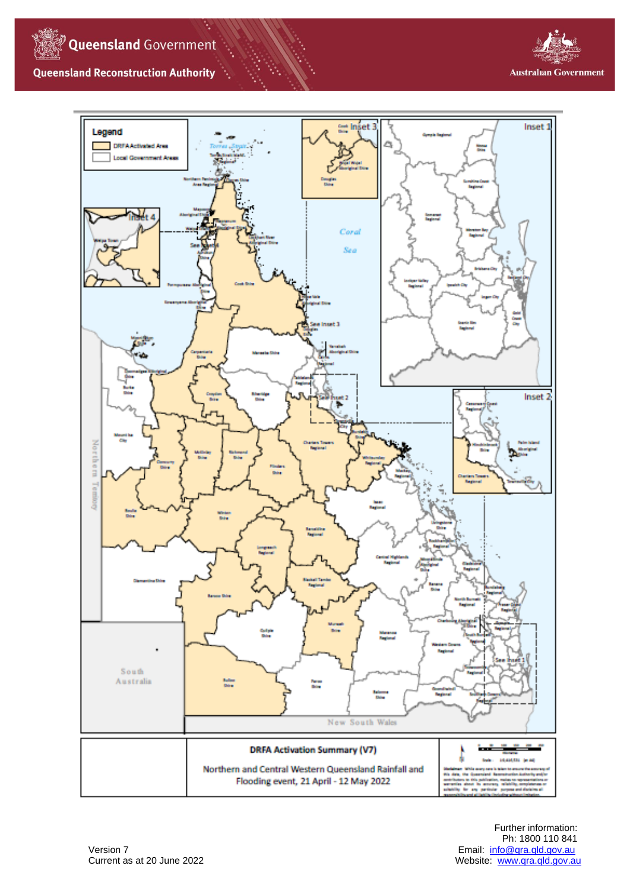